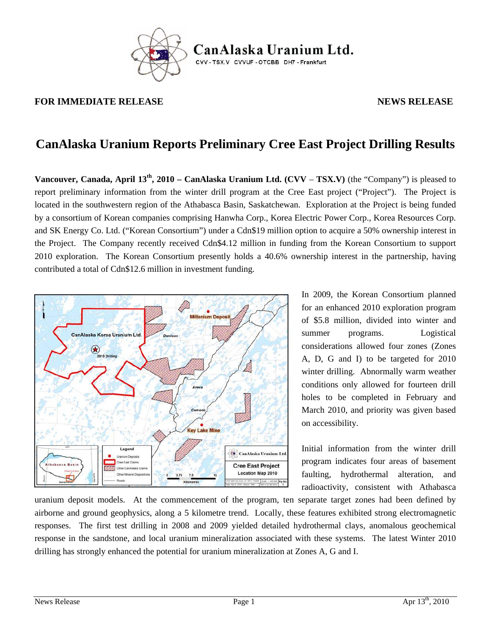

CanAlaska Uranium Ltd. CVV-TSX.V CVVUF-OTCBB DH7-Frankfurt

#### **FOR IMMEDIATE RELEASE AND SEXUAL SERVICE SERVICES AND SEXUAL SERVICES AND SEXUAL SERVICES AND SEXUAL SERVICES**

# **CanAlaska Uranium Reports Preliminary Cree East Project Drilling Results**

**Vancouver, Canada, April 13th, 2010 – CanAlaska Uranium Ltd. (CVV** – **TSX.V)** (the "Company") is pleased to report preliminary information from the winter drill program at the Cree East project ("Project"). The Project is located in the southwestern region of the Athabasca Basin, Saskatchewan. Exploration at the Project is being funded by a consortium of Korean companies comprising Hanwha Corp., Korea Electric Power Corp., Korea Resources Corp. and SK Energy Co. Ltd. ("Korean Consortium") under a Cdn\$19 million option to acquire a 50% ownership interest in the Project. The Company recently received Cdn\$4.12 million in funding from the Korean Consortium to support 2010 exploration. The Korean Consortium presently holds a 40.6% ownership interest in the partnership, having contributed a total of Cdn\$12.6 million in investment funding.



In 2009, the Korean Consortium planned for an enhanced 2010 exploration program of \$5.8 million, divided into winter and summer programs. Logistical considerations allowed four zones (Zones A, D, G and I) to be targeted for 2010 winter drilling. Abnormally warm weather conditions only allowed for fourteen drill holes to be completed in February and March 2010, and priority was given based on accessibility.

Initial information from the winter drill program indicates four areas of basement faulting, hydrothermal alteration, and radioactivity, consistent with Athabasca

uranium deposit models. At the commencement of the program, ten separate target zones had been defined by airborne and ground geophysics, along a 5 kilometre trend. Locally, these features exhibited strong electromagnetic responses. The first test drilling in 2008 and 2009 yielded detailed hydrothermal clays, anomalous geochemical response in the sandstone, and local uranium mineralization associated with these systems. The latest Winter 2010 drilling has strongly enhanced the potential for uranium mineralization at Zones A, G and I.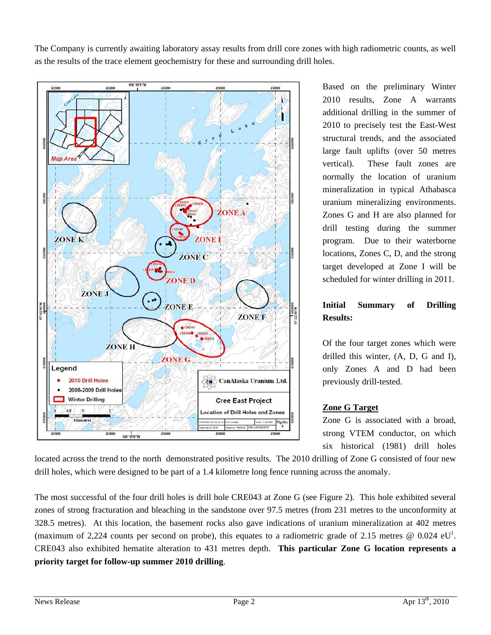The Company is currently awaiting laboratory assay results from drill core zones with high radiometric counts, as well as the results of the trace element geochemistry for these and surrounding drill holes.



Based on the preliminary Winter 2010 results, Zone A warrants additional drilling in the summer of 2010 to precisely test the East-West structural trends, and the associated large fault uplifts (over 50 metres vertical). These fault zones are normally the location of uranium mineralization in typical Athabasca uranium mineralizing environments. Zones G and H are also planned for drill testing during the summer program. Due to their waterborne locations, Zones C, D, and the strong target developed at Zone I will be scheduled for winter drilling in 2011.

## **Initial Summary of Drilling Results:**

Of the four target zones which were drilled this winter, (A, D, G and I), only Zones A and D had been previously drill-tested.

### **Zone G Target**

Zone G is associated with a broad, strong VTEM conductor, on which six historical (1981) drill holes

located across the trend to the north demonstrated positive results. The 2010 drilling of Zone G consisted of four new drill holes, which were designed to be part of a 1.4 kilometre long fence running across the anomaly.

The most successful of the four drill holes is drill hole CRE043 at Zone G (see Figure 2). This hole exhibited several zones of strong fracturation and bleaching in the sandstone over 97.5 metres (from 231 metres to the unconformity at 328.5 metres). At this location, the basement rocks also gave indications of uranium mineralization at 402 metres (maximum of 2,224 counts per second on probe), this equates to a radiometric grade of 2.15 metres  $\omega$  0.024 eU<sup>1</sup>. CRE043 also exhibited hematite alteration to 431 metres depth. **This particular Zone G location represents a priority target for follow-up summer 2010 drilling**.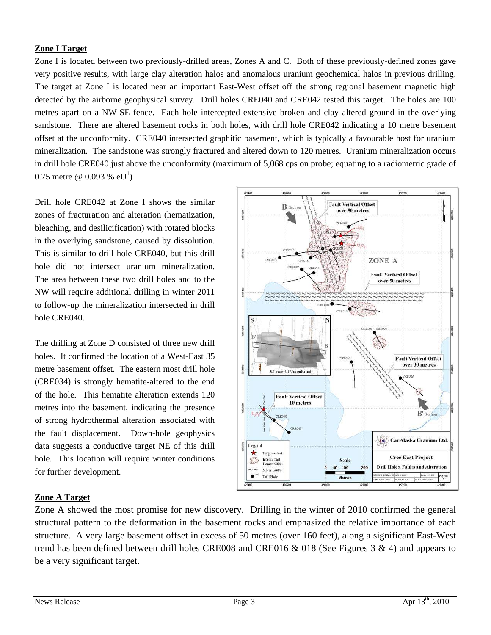#### **Zone I Target**

Zone I is located between two previously-drilled areas, Zones A and C. Both of these previously-defined zones gave very positive results, with large clay alteration halos and anomalous uranium geochemical halos in previous drilling. The target at Zone I is located near an important East-West offset off the strong regional basement magnetic high detected by the airborne geophysical survey. Drill holes CRE040 and CRE042 tested this target. The holes are 100 metres apart on a NW-SE fence. Each hole intercepted extensive broken and clay altered ground in the overlying sandstone. There are altered basement rocks in both holes, with drill hole CRE042 indicating a 10 metre basement offset at the unconformity. CRE040 intersected graphitic basement, which is typically a favourable host for uranium mineralization. The sandstone was strongly fractured and altered down to 120 metres. Uranium mineralization occurs in drill hole CRE040 just above the unconformity (maximum of 5,068 cps on probe; equating to a radiometric grade of 0.75 metre @ 0.093 %  $eU^1$ )

Drill hole CRE042 at Zone I shows the similar zones of fracturation and alteration (hematization, bleaching, and desilicification) with rotated blocks in the overlying sandstone, caused by dissolution. This is similar to drill hole CRE040, but this drill hole did not intersect uranium mineralization. The area between these two drill holes and to the NW will require additional drilling in winter 2011 to follow-up the mineralization intersected in drill hole CRE040.

The drilling at Zone D consisted of three new drill holes. It confirmed the location of a West-East 35 metre basement offset. The eastern most drill hole (CRE034) is strongly hematite-altered to the end of the hole. This hematite alteration extends 120 metres into the basement, indicating the presence of strong hydrothermal alteration associated with the fault displacement. Down-hole geophysics data suggests a conductive target NE of this drill hole. This location will require winter conditions for further development.



### **Zone A Target**

Zone A showed the most promise for new discovery. Drilling in the winter of 2010 confirmed the general structural pattern to the deformation in the basement rocks and emphasized the relative importance of each structure. A very large basement offset in excess of 50 metres (over 160 feet), along a significant East-West trend has been defined between drill holes CRE008 and CRE016 & 018 (See Figures 3 & 4) and appears to be a very significant target.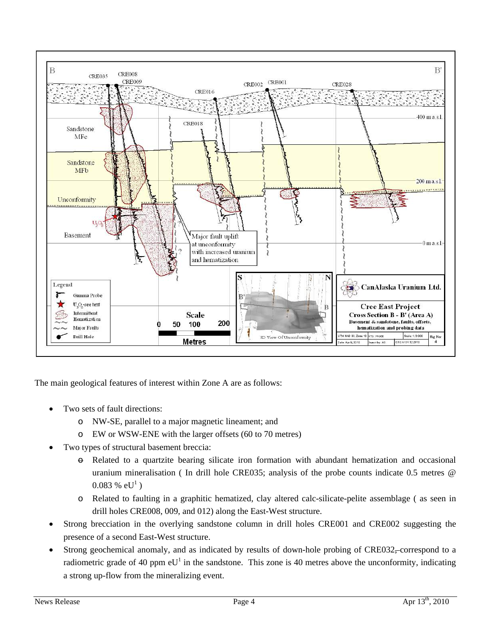

The main geological features of interest within Zone A are as follows:

- Two sets of fault directions:
	- o NW-SE, parallel to a major magnetic lineament; and
	- o EW or WSW-ENE with the larger offsets (60 to 70 metres)
- Two types of structural basement breccia:
	- $\Theta$  Related to a quartzite bearing silicate iron formation with abundant hematization and occasional uranium mineralisation ( In drill hole CRE035; analysis of the probe counts indicate 0.5 metres @  $0.083 \%$  eU<sup>1</sup>)
	- o Related to faulting in a graphitic hematized, clay altered calc-silicate-pelite assemblage ( as seen in drill holes CRE008, 009, and 012) along the East-West structure.
- Strong brecciation in the overlying sandstone column in drill holes CRE001 and CRE002 suggesting the presence of a second East-West structure.
- Strong geochemical anomaly, and as indicated by results of down-hole probing of CRE032, correspond to a radiometric grade of 40 ppm  $eU^1$  in the sandstone. This zone is 40 metres above the unconformity, indicating a strong up-flow from the mineralizing event.